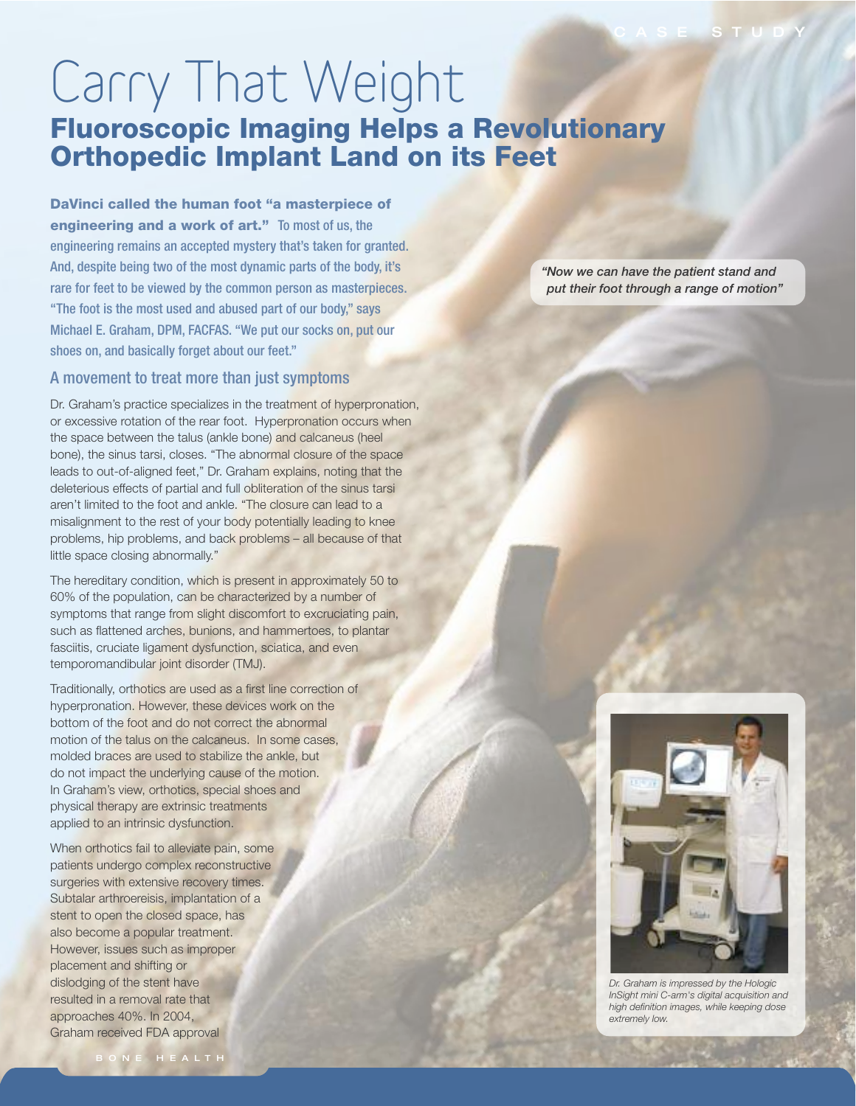## Carry That Weight Fluoroscopic Imaging Helps a Revolutionary Orthopedic Implant Land on its Feet

DaVinci called the human foot "a masterpiece of engineering and a work of art." To most of us, the engineering remains an accepted mystery that's taken for granted. And, despite being two of the most dynamic parts of the body, it's rare for feet to be viewed by the common person as masterpieces. "The foot is the most used and abused part of our body," says Michael E. Graham, DPM, FACFAS. "We put our socks on, put our shoes on, and basically forget about our feet."

## A movement to treat more than just symptoms

Dr. Graham's practice specializes in the treatment of hyperpronation, or excessive rotation of the rear foot. Hyperpronation occurs when the space between the talus (ankle bone) and calcaneus (heel bone), the sinus tarsi, closes. "The abnormal closure of the space leads to out-of-aligned feet," Dr. Graham explains, noting that the deleterious effects of partial and full obliteration of the sinus tarsi aren't limited to the foot and ankle. "The closure can lead to a misalignment to the rest of your body potentially leading to knee problems, hip problems, and back problems – all because of that little space closing abnormally."

The hereditary condition, which is present in approximately 50 to 60% of the population, can be characterized by a number of symptoms that range from slight discomfort to excruciating pain, such as flattened arches, bunions, and hammertoes, to plantar fasciitis, cruciate ligament dysfunction, sciatica, and even temporomandibular joint disorder (TMJ).

Traditionally, orthotics are used as a first line correction of hyperpronation. However, these devices work on the bottom of the foot and do not correct the abnormal motion of the talus on the calcaneus. In some cases, molded braces are used to stabilize the ankle, but do not impact the underlying cause of the motion. In Graham's view, orthotics, special shoes and physical therapy are extrinsic treatments applied to an intrinsic dysfunction.

When orthotics fail to alleviate pain, some patients undergo complex reconstructive surgeries with extensive recovery times. Subtalar arthroereisis, implantation of a stent to open the closed space, has also become a popular treatment. However, issues such as improper placement and shifting or dislodging of the stent have resulted in a removal rate that approaches 40%. In 2004, Graham received FDA approval

"Now we can have the patient stand and put their foot through a range of motion"



Dr. Graham is impressed by the Hologic InSight mini C-arm's digital acquisition and high definition images, while keeping dose extremely low.